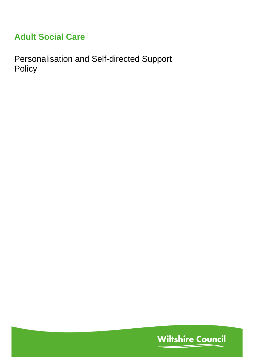# **Adult Social Care**

Personalisation and Self-directed Support Policy

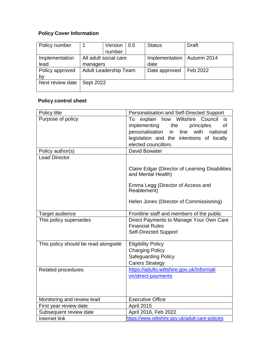# **Policy Cover Information**

| Policy number    |                              | Version | 0.5           | <b>Status</b>  | <b>Draft</b> |
|------------------|------------------------------|---------|---------------|----------------|--------------|
|                  |                              | number  |               |                |              |
| Implementation   | All adult social care        |         |               | Implementation | Autumn 2014  |
| lead             | managers                     |         |               | date           |              |
| Policy approved  | <b>Adult Leadership Team</b> |         | Date approved | Feb 2022       |              |
| by               |                              |         |               |                |              |
| Next review date | Sept 2022                    |         |               |                |              |
|                  |                              |         |               |                |              |

# **Policy control sheet**

| Policy title                         | Personalisation and Self-Directed Support                             |
|--------------------------------------|-----------------------------------------------------------------------|
| Purpose of policy                    | explain how Wiltshire<br>Council<br>To<br>is.                         |
|                                      | implementing<br>of<br>the<br>principles                               |
|                                      | personalisation<br>in<br>line<br>with<br>national                     |
|                                      | legislation and the intentions of locally                             |
|                                      | elected councillors.                                                  |
| Policy author(s)                     | <b>David Bowater</b>                                                  |
| <b>Lead Director</b>                 |                                                                       |
|                                      | Claire Edgar (Director of Learning Disabilities<br>and Mental Health) |
|                                      | Emma Legg (Director of Access and<br>Reablement)                      |
|                                      | Helen Jones (Director of Commissioning)                               |
| Target audience                      | Frontline staff and members of the public                             |
| This policy supersedes               | Direct Payments to Manage Your Own Care                               |
|                                      | <b>Financial Rules</b>                                                |
|                                      | <b>Self-Directed Support</b>                                          |
| This policy should be read alongside | <b>Eligibility Policy</b>                                             |
|                                      | <b>Charging Policy</b>                                                |
|                                      | <b>Safeguarding Policy</b>                                            |
|                                      | <b>Carers Strategy</b>                                                |
| <b>Related procedures</b>            | https://adults.wiltshire.gov.uk/Informati                             |
|                                      | on/direct-payments                                                    |
|                                      |                                                                       |
|                                      |                                                                       |
| Monitoring and review lead           | <b>Executive Office</b>                                               |
| First year review date               | <b>April 2015</b>                                                     |
| Subsequent review date               | April 2016, Feb 2022                                                  |
| Internet link                        | https://www.wiltshire.gov.uk/adult-care-policies                      |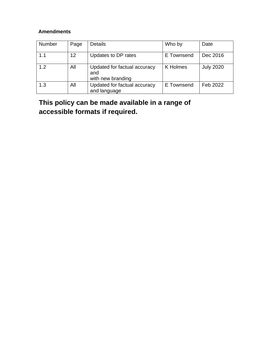## **Amendments**

| Number | Page | <b>Details</b>                                           | Who by          | Date             |
|--------|------|----------------------------------------------------------|-----------------|------------------|
| 1.1    | 12   | Updates to DP rates                                      | E Townsend      | Dec 2016         |
| 1.2    | All  | Updated for factual accuracy<br>and<br>with new branding | <b>K</b> Holmes | <b>July 2020</b> |
| 1.3    | All  | Updated for factual accuracy<br>and language             | E Townsend      | Feb 2022         |

# **This policy can be made available in a range of accessible formats if required.**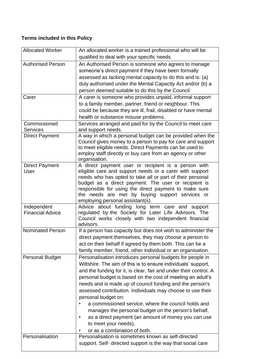# **Terms included in this Policy**

| <b>Allocated Worker</b>  | An allocated worker is a trained professional who will be                                                             |
|--------------------------|-----------------------------------------------------------------------------------------------------------------------|
|                          | qualified to deal with your specific needs.                                                                           |
| <b>Authorised Person</b> | An Authorised Person is someone who agrees to manage                                                                  |
|                          | someone's direct payment if they have been formally                                                                   |
|                          | assessed as lacking mental capacity to do this and is: (a)                                                            |
|                          | duly authorised under the Mental Capacity Act and/or (b) a                                                            |
|                          | person deemed suitable to do this by the Council.                                                                     |
| Carer                    | A carer is someone who provides unpaid, informal support                                                              |
|                          | to a family member, partner, friend or neighbour. This                                                                |
|                          | could be because they are ill, frail, disabled or have mental                                                         |
|                          | health or substance misuse problems.                                                                                  |
| Commissioned             | Services arranged and paid for by the Council to meet care                                                            |
| <b>Services</b>          | and support needs.                                                                                                    |
| <b>Direct Payment</b>    | A way in which a personal budget can be provided when the                                                             |
|                          | Council gives money to a person to pay for care and support<br>to meet eligible needs. Direct Payments can be used to |
|                          | employ staff directly or buy care from an agency or other                                                             |
|                          | organisation.                                                                                                         |
| <b>Direct Payment</b>    | A direct payment user or recipient is a person with                                                                   |
| User                     | eligible care and support needs or a carer with support                                                               |
|                          | needs who has opted to take all or part of their personal                                                             |
|                          | budget as a direct payment. The user or recipient is                                                                  |
|                          | responsible for using the direct payment to make sure                                                                 |
|                          | the needs are met by buying support services or<br>employing personal assistant(s).                                   |
| Independent              | Advice about funding long term care and support                                                                       |
| <b>Financial Advice</b>  | regulated by the Society for Later Life Advisors. The                                                                 |
|                          | Council works closely with two independent financial                                                                  |
|                          | advisors.                                                                                                             |
| <b>Nominated Person</b>  | If a person has capacity but does not wish to administer the                                                          |
|                          | direct payment themselves, they may choose a person to                                                                |
|                          | act on their behalf if agreed by them both. This can be a                                                             |
|                          | family member, friend, other individual or an organisation.                                                           |
| <b>Personal Budget</b>   | Personalisation introduces personal budgets for people in                                                             |
|                          | Wiltshire. The aim of this is to ensure individuals' support,                                                         |
|                          | and the funding for it, is clear, fair and under their control. A                                                     |
|                          | personal budget is based on the cost of meeting an adult's                                                            |
|                          | needs and is made up of council funding and the person's                                                              |
|                          | assessed contribution. Individuals may choose to use their                                                            |
|                          | personal budget on:                                                                                                   |
|                          | a commissioned service, where the council holds and                                                                   |
|                          | manages the personal budget on the person's behalf,                                                                   |
|                          | as a direct payment (an amount of money you can use                                                                   |
|                          | to meet your needs),                                                                                                  |
|                          | or as a combination of both.                                                                                          |
| Personalisation          | Personalisation is sometimes known as self-directed                                                                   |
|                          | support. Self- directed support is the way that social care                                                           |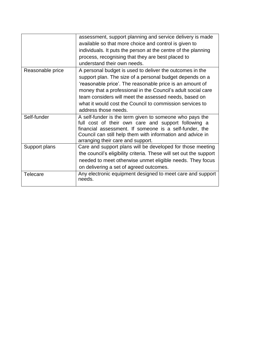|                  | assessment, support planning and service delivery is made                                       |
|------------------|-------------------------------------------------------------------------------------------------|
|                  | available so that more choice and control is given to                                           |
|                  | individuals. It puts the person at the centre of the planning                                   |
|                  | process, recognising that they are best placed to                                               |
|                  | understand their own needs.                                                                     |
| Reasonable price | A personal budget is used to deliver the outcomes in the                                        |
|                  | support plan. The size of a personal budget depends on a                                        |
|                  | 'reasonable price'. The reasonable price is an amount of                                        |
|                  | money that a professional in the Council's adult social care                                    |
|                  | team considers will meet the assessed needs, based on                                           |
|                  | what it would cost the Council to commission services to                                        |
|                  | address those needs.                                                                            |
| Self-funder      | A self-funder is the term given to someone who pays the                                         |
|                  | full cost of their own care and support following a                                             |
|                  | financial assessment. If someone is a self-funder, the                                          |
|                  | Council can still help them with information and advice in<br>arranging their care and support. |
| Support plans    | Care and support plans will be developed for those meeting                                      |
|                  | the council's eligibility criteria. These will set out the support                              |
|                  | needed to meet otherwise unmet eligible needs. They focus                                       |
|                  |                                                                                                 |
|                  | on delivering a set of agreed outcomes.                                                         |
| Telecare         | Any electronic equipment designed to meet care and support<br>needs.                            |
|                  |                                                                                                 |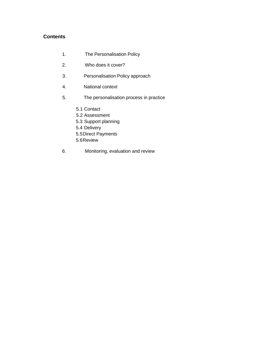### **Contents**

- 1. The Personalisation Policy
- 2. Who does it cover?
- 3. Personalisation Policy approach
- 4. National context
- 5. The personalisation process in practice
	- 5.1 Contact
	- 5.2 Assessment
	- 5.3 Support planning
	- 5.4 Delivery
	- 5.5Direct Payments
	- 5.6Review
- 6. Monitoring, evaluation and review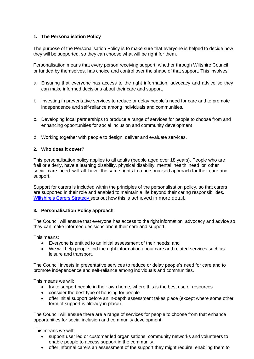### **1. The Personalisation Policy**

The purpose of the Personalisation Policy is to make sure that everyone is helped to decide how they will be supported, so they can choose what will be right for them.

Personalisation means that every person receiving support, whether through Wiltshire Council or funded by themselves, has choice and control over the shape of that support. This involves:

- a. Ensuring that everyone has access to the right information, advocacy and advice so they can make informed decisions about their care and support.
- b. Investing in preventative services to reduce or delay people's need for care and to promote independence and self-reliance among individuals and communities.
- c. Developing local partnerships to produce a range of services for people to choose from and enhancing opportunities for social inclusion and community development
- d. Working together with people to design, deliver and evaluate services.

### **2. Who does it cover?**

This personalisation policy applies to all adults (people aged over 18 years). People who are frail or elderly, have a learning disability, physical disability, mental health need or other social care need will all have the same rights to a personalised approach for their care and support.

Support for carers is included within the principles of the personalisation policy, so that carers are supported in their role and enabled to maintain a life beyond their caring responsibilities. Wiltshire's [Carers Strategy](https://adults.wiltshire.gov.uk/Information/strategy-and-policy-for-carers) sets out how this is achieved in more detail.

#### **3. Personalisation Policy approach**

The Council will ensure that everyone has access to the right information, advocacy and advice so they can make informed decisions about their care and support.

This means:

- Everyone is entitled to an initial assessment of their needs; and
- We will help people find the right information about care and related services such as leisure and transport.

The Council invests in preventative services to reduce or delay people's need for care and to promote independence and self-reliance among individuals and communities.

This means we will:

- try to support people in their own home, where this is the best use of resources
- consider the best type of housing for people
- offer initial support before an in-depth assessment takes place (except where some other form of support is already in place).

The Council will ensure there are a range of services for people to choose from that enhance opportunities for social inclusion and community development.

This means we will:

- support user led or customer led organisations, community networks and volunteers to enable people to access support in the community.
- offer informal carers an assessment of the support they might require, enabling them to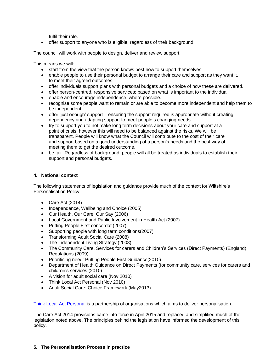fulfil their role.

• offer support to anyone who is eligible, regardless of their background.

The council will work with people to design, deliver and review support.

This means we will:

- start from the view that the person knows best how to support themselves
- enable people to use their personal budget to arrange their care and support as they want it, to meet their agreed outcomes
- offer individuals support plans with personal budgets and a choice of how these are delivered.
- offer person-centred, responsive services; based on what is important to the individual.
- enable and encourage independence, where possible.
- recognise some people want to remain or are able to become more independent and help them to be independent.
- offer 'just enough' support ensuring the support required is appropriate without creating dependency and adapting support to meet people's changing needs.
- try to support you to not make long term decisions about your care and support at a point of crisis, however this will need to be balanced against the risks. We will be transparent. People will know what the Council will contribute to the cost of their care and support based on a good understanding of a person's needs and the best way of meeting them to get the desired outcome.
- be fair. Regardless of background, people will all be treated as individuals to establish their support and personal budgets.

### **4. National context**

The following statements of legislation and guidance provide much of the context for Wiltshire's Personalisation Policy:

- Care Act (2014)
- Independence, Wellbeing and Choice (2005)
- Our Health, Our Care, Our Say (2006)
- Local Government and Public Involvement in Health Act (2007)
- Putting People First concordat (2007)
- Supporting people with long term conditions(2007)
- Transforming Adult Social Care (2008)
- The Independent Living Strategy (2008)
- The Community Care, Services for carers and Children's Services (Direct Payments) (England) Regulations (2009)
- Prioritising need: Putting People First Guidance(2010)
- Department of Health Guidance on Direct Payments (for community care, services for carers and children's services (2010)
- A vision for adult social care (Nov 2010)
- Think Local Act Personal (Nov 2010)
- Adult Social Care: Choice Framework (May2013)

[Think Local Act Personal](https://www.thinklocalactpersonal.org.uk/Browse/ThinkLocalActPersonal/) is a partnership of organisations which aims to deliver personalisation.

The Care Act 2014 provisions came into force in April 2015 and replaced and simplified much of the legislation noted above. The principles behind the legislation have informed the development of this policy.

### **5. The Personalisation Process in practice**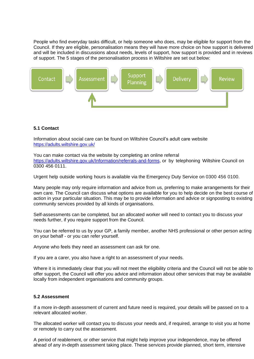People who find everyday tasks difficult, or help someone who does, may be eligible for support from the Council. If they are eligible, personalisation means they will have more choice on how support is delivered and will be included in discussions about needs, levels of support, how support is provided and in reviews of support. The 5 stages of the personalisation process in Wiltshire are set out below:



### **5.1 Contact**

Information about social care can be found on Wiltshire Council's adult care website <https://adults.wiltshire.gov.uk/>

You can make contact via the website by completing an online referral [https://adults.wiltshire.gov.uk/Information/referrals-and-forms,](https://adults.wiltshire.gov.uk/Information/referrals-and-forms) or by telephoning Wiltshire Council on 0300 456 0111.

Urgent help outside working hours is available via the Emergency Duty Service on 0300 456 0100.

Many people may only require information and advice from us, preferring to make arrangements for their own care. The Council can discuss what options are available for you to help decide on the best course of action in your particular situation. This may be to provide information and advice or signposting to existing community services provided by all kinds of organisations.

Self-assessments can be completed, but an allocated worker will need to contact you to discuss your needs further, if you require support from the Council.

You can be referred to us by your GP, a family member, another NHS professional or other person acting on your behalf - or you can refer yourself.

Anyone who feels they need an assessment can ask for one.

If you are a carer, you also have a right to an assessment of your needs.

Where it is immediately clear that you will not meet the eligibility criteria and the Council will not be able to offer support, the Council will offer you advice and information about other services that may be available locally from independent organisations and community groups.

#### **5.2 Assessment**

If a more in-depth assessment of current and future need is required, your details will be passed on to a relevant allocated worker.

The allocated worker will contact you to discuss your needs and, if required, arrange to visit you at home or remotely to carry out the assessment.

A period of reablement, or other service that might help improve your independence, may be offered ahead of any in-depth assessment taking place. These services provide planned, short term, intensive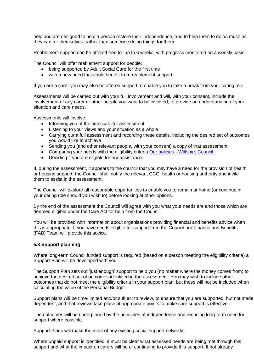help and are designed to help a person restore their independence, and to help them to do as much as they can for themselves, rather than someone doing things for them.

Reablement support can be offered free for up to 6 weeks, with progress monitored on a weekly basis.

The Council will offer reablement support for people:

- being supported by Adult Social Care for the first time
- with a new need that could benefit from reablement support.

If you are a carer you may also be offered support to enable you to take a break from your caring role.

Assessments will be carried out with your full involvement and will, with your consent, include the involvement of any carer or other people you want to be involved, to provide an understanding of your situation and care needs.

Assessments will involve:

- Informing you of the timescale for assessment
- Listening to your views and your situation as a whole
- Carrying out a full assessment and recording these details, including the desired set of outcomes you would like to achieve
- Sending you (and other relevant people, with your consent) a copy of that assessment
- Comparing your needs with the eligibility criteria Our policies [Wiltshire Council](https://www.wiltshire.gov.uk/adult-care-policies)
- Deciding if you are eligible for our assistance.

If, during the assessment, it appears to the council that you may have a need for the provision of health or housing support, the Council shall notify the relevant CCG, health or housing authority and invite them to assist in the assessment.

The Council will explore all reasonable opportunities to enable you to remain at home (or continue in your caring role should you wish to) before looking at other options.

By the end of the assessment the Council will agree with you what your needs are and those which are deemed eligible under the Care Act for help from the Council.

You will be provided with information about organisations providing financial and benefits advice when this is appropriate. If you have needs eligible for support from the Council our Finance and Benefits (FAB) Team will provide this advice.

#### **5.3 Support planning**

Where long-term Council funded support is required (based on a person meeting the eligibility criteria) a Support Plan will be developed with you.

The Support Plan sets out 'just enough' support to help you (no matter where the money comes from) to achieve the desired set of outcomes identified in the assessment. You may wish to include other outcomes that do not meet the eligibility criteria in your support plan, but these will not be included when calculating the value of the Personal Budget.

Support plans will be time-limited and/or subject to review, to ensure that you are supported, but not made dependent, and that reviews take place at appropriate points to make sure support is effective.

The outcomes will be underpinned by the principles of independence and reducing long-term need for support where possible.

Support Plans will make the most of any existing social support networks.

Where unpaid support is identified, it must be clear what assessed needs are being met through this support and what the impact on carers will be of continuing to provide this support. If not already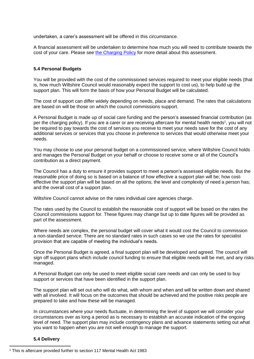undertaken, a carer's assessment will be offered in this circumstance.

A financial assessment will be undertaken to determine how much you will need to contribute towards the cost of your care. Please see [the Charging Policy](https://www.wiltshire.gov.uk/adult-care-policies) for more detail about this assessment.

#### **5.4 Personal Budgets**

You will be provided with the cost of the commissioned services required to meet your eligible needs (that is, how much Wiltshire Council would reasonably expect the support to cost us), to help build up the support plan. This will form the basis of how your Personal Budget will be calculated.

The cost of support can differ widely depending on needs, place and demand. The rates that calculations are based on will be those on which the council commissions support.

A Personal Budget is made up of social care funding and the person's assessed financial contribution (as per the charging policy). If you are a carer or are receiving aftercare for mental health needs<sup>1</sup>, you will not be required to pay towards the cost of services you receive to meet your needs save for the cost of any additional services or services that you choose in preference to services that would otherwise meet your needs.

You may choose to use your personal budget on a commissioned service, where Wiltshire Council holds and manages the Personal Budget on your behalf or choose to receive some or all of the Council's contribution as a direct payment.

The Council has a duty to ensure it provides support to meet a person's assessed eligible needs. But the reasonable price of doing so is based on a balance of how effective a support plan will be; how costeffective the support plan will be based on all the options; the level and complexity of need a person has; and the overall cost of a support plan.

Wiltshire Council cannot advise on the rates individual care agencies charge.

The rates used by the Council to establish the reasonable cost of support will be based on the rates the Council commissions support for. These figures may change but up to date figures will be provided as part of the assessment.

Where needs are complex, the personal budget will cover what it would cost the Council to commission a non-standard service. There are no standard rates in such cases so we use the rates for specialist provision that are capable of meeting the individual's needs.

Once the Personal Budget is agreed, a final support plan will be developed and agreed. The council will sign off support plans which include council funding to ensure that eligible needs will be met, and any risks managed.

A Personal Budget can only be used to meet eligible social care needs and can only be used to buy support or services that have been identified in the support plan.

The support plan will set out who will do what, with whom and when and will be written down and shared with all involved. It will focus on the outcomes that should be achieved and the positive risks people are prepared to take and how these will be managed.

In circumstances where your needs fluctuate, in determining the level of support we will consider your circumstances over as long a period as is necessary to establish an accurate indication of the ongoing level of need. The support plan may include contingency plans and advance statements setting out what you want to happen when you are not well enough to manage the support.

#### **5.4 Delivery**

<sup>1</sup> This is aftercare provided further to section 117 Mental Health Act 1983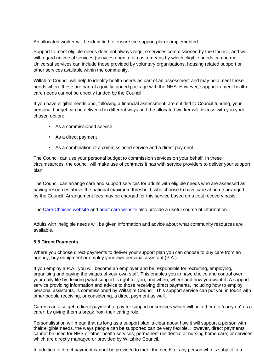An allocated worker will be identified to ensure the support plan is implemented.

Support to meet eligible needs does not always require services commissioned by the Council, and we will regard universal services (services open to all) as a means by which eligible needs can be met. Universal services can include those provided by voluntary organisations, housing related support or other services available within the community.

Wiltshire Council will help to identify health needs as part of an assessment and may help meet these needs where these are part of a jointly funded package with the NHS. However, support to meet health care needs cannot be directly funded by the Council.

If you have eligible needs and, following a financial assessment, are entitled to Council funding, your personal budget can be delivered in different ways and the allocated worker will discuss with you your chosen option:

- As a commissioned service
- As a direct payment
- As a combination of a commissioned service and a direct payment

The Council can use your personal budget to commission services on your behalf. In these circumstances, the council will make use of contracts it has with service providers to deliver your support plan.

The Council can arrange care and support services for adults with eligible needs who are assessed as having resources above the national maximum threshold, who choose to have care at home arranged by the Council. Arrangement fees may be charged for this service based on a cost recovery basis.

Th[e](http://www.carechoices.co.uk/) Care Choices website and [adult care website](https://adults.wiltshire.gov.uk/) also provide a useful source of information.

Adults with ineligible needs will be given information and advice about what community resources are available.

#### **5.5 Direct Payments**

Where you choose direct payments to deliver your support plan you can choose to buy care from an agency, buy equipment or employ your own personal assistant (P.A.).

If you employ a P.A., you will become an employer and be responsible for recruiting, employing, organising and paying the wages of your own staff. This enables you to have choice and control over your daily life by deciding what support is right for you, and when, where and how you want it. A support service providing information and advice to those receiving direct payments, including how to employ personal assistants, is commissioned by Wiltshire Council. This support service can put you in touch with other people receiving, or considering, a direct payment as well.

Carers can also get a direct payment to pay for support or services which will help them to "carry on" as a carer, by giving them a break from their caring role.

Personalisation will mean that as long as a support plan is clear about how it will support a person with their eligible needs, the ways people can be supported can be very flexible. However, direct payments cannot be used for NHS or other health services; permanent residential or nursing home care; or services which are directly managed or provided by Wiltshire Council.

In addition, a direct payment cannot be provided to meet the needs of any person who is subject to a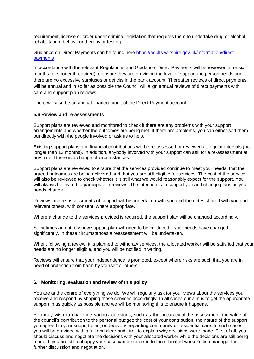requirement, license or order under criminal legislation that requires them to undertake drug or alcohol rehabilitation, behaviour therapy or testing.

Guidance on Direct Payments can be found here [https://adults.wiltshire.gov.uk/Information/direct](https://adults.wiltshire.gov.uk/Information/direct-payments)[payments](https://adults.wiltshire.gov.uk/Information/direct-payments)

In accordance with the relevant Regulations and Guidance, Direct Payments will be reviewed after six months (or sooner if required) to ensure they are providing the level of support the person needs and there are no excessive surpluses or deficits in the bank account. Thereafter reviews of direct payments will be annual and in so far as possible the Council will align annual reviews of direct payments with care and support plan reviews.

There will also be an annual financial audit of the Direct Payment account.

#### **5.6 Review and re-assessments**

Support plans are reviewed and monitored to check if there are any problems with your support arrangements and whether the outcomes are being met. If there are problems, you can either sort them out directly with the people involved or ask us to help.

Existing support plans and financial contributions will be re-assessed or reviewed at regular intervals (not longer than 12 months). In addition, anybody involved with your support can ask for a re-assessment at any time if there is a change of circumstances.

Support plans are reviewed to ensure that the services provided continue to meet your needs, that the agreed outcomes are being delivered and that you are still eligible for services. The cost of the service will also be reviewed to check whether it is still what we would reasonably expect for the support. You will always be invited to participate in reviews. The intention is to support you and change plans as your needs change.

Reviews and re-assessments of support will be undertaken with you and the notes shared with you and relevant others, with consent, where appropriate.

Where a change to the services provided is required, the support plan will be changed accordingly.

Sometimes an entirely new support plan will need to be produced if your needs have changed significantly. In these circumstances a reassessment will be undertaken.

When, following a review, it is planned to withdraw services, the allocated worker will be satisfied that your needs are no longer eligible, and you will be notified in writing.

Reviews will ensure that your independence is promoted, except where risks are such that you are in need of protection from harm by yourself or others.

#### **6. Monitoring, evaluation and review of this policy**

You are at the centre of everything we do. We will regularly ask for your views about the services you receive and respond by shaping those services accordingly. In all cases our aim is to get the appropriate support in as quickly as possible and we will be monitoring this to ensure it happens.

You may wish to challenge various decisions, such as the accuracy of the assessment; the value of the council's contribution to the personal budget; the cost of your contribution; the nature of the support you agreed in your support plan; or decisions regarding community or residential care. In such cases, you will be provided with a full and clear audit trail to explain why decisions were made. First of all, you should discuss and negotiate the decisions with your allocated worker while the decisions are still being made. If you are still unhappy your case can be referred to the allocated worker's line manager for further discussion and negotiation.